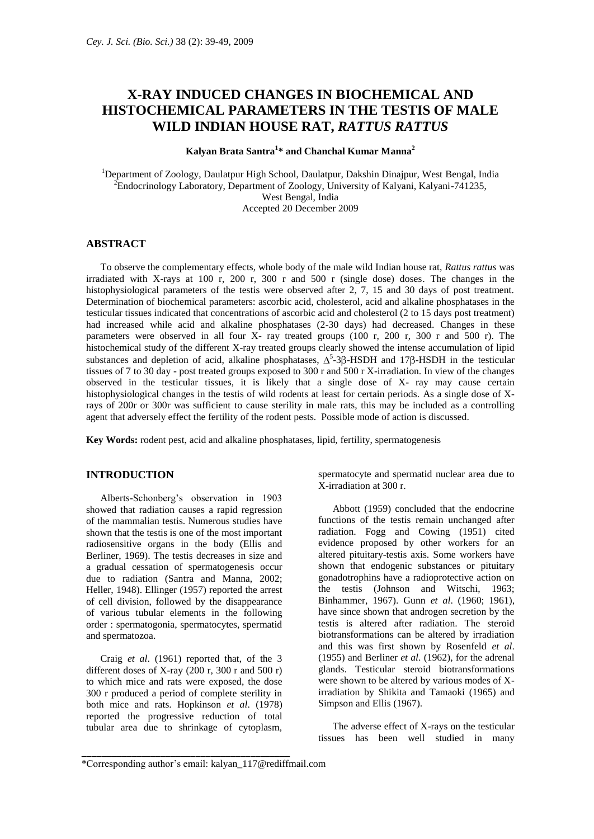# **X-RAY INDUCED CHANGES IN BIOCHEMICAL AND HISTOCHEMICAL PARAMETERS IN THE TESTIS OF MALE WILD INDIAN HOUSE RAT,** *RATTUS RATTUS*

# **Kalyan Brata Santra<sup>1</sup> \* and Chanchal Kumar Manna<sup>2</sup>**

<sup>1</sup>Department of Zoology, Daulatpur High School, Daulatpur, Dakshin Dinajpur, West Bengal, India <sup>2</sup>Endocrinology Laboratory, Department of Zoology, University of Kalyani, Kalyani-741235, West Bengal, India Accepted 20 December 2009

## **ABSTRACT**

To observe the complementary effects, whole body of the male wild Indian house rat, *Rattus rattus* was irradiated with X-rays at 100 r, 200 r, 300 r and 500 r (single dose) doses. The changes in the histophysiological parameters of the testis were observed after 2, 7, 15 and 30 days of post treatment. Determination of biochemical parameters: ascorbic acid, cholesterol, acid and alkaline phosphatases in the testicular tissues indicated that concentrations of ascorbic acid and cholesterol (2 to 15 days post treatment) had increased while acid and alkaline phosphatases (2-30 days) had decreased. Changes in these parameters were observed in all four X- ray treated groups (100 r, 200 r, 300 r and 500 r). The histochemical study of the different X-ray treated groups clearly showed the intense accumulation of lipid substances and depletion of acid, alkaline phosphatases,  $\Delta^5$ -3 $\beta$ -HSDH and 17 $\beta$ -HSDH in the testicular tissues of 7 to 30 day - post treated groups exposed to 300 r and 500 r X-irradiation. In view of the changes observed in the testicular tissues, it is likely that a single dose of X- ray may cause certain histophysiological changes in the testis of wild rodents at least for certain periods. As a single dose of Xrays of 200r or 300r was sufficient to cause sterility in male rats, this may be included as a controlling agent that adversely effect the fertility of the rodent pests. Possible mode of action is discussed.

**Key Words:** rodent pest, acid and alkaline phosphatases, lipid, fertility, spermatogenesis

## **INTRODUCTION**

Alberts-Schonberg's observation in 1903 showed that radiation causes a rapid regression of the mammalian testis. Numerous studies have shown that the testis is one of the most important radiosensitive organs in the body (Ellis and Berliner, 1969). The testis decreases in size and a gradual cessation of spermatogenesis occur due to radiation (Santra and Manna, 2002; Heller, 1948). Ellinger (1957) reported the arrest of cell division, followed by the disappearance of various tubular elements in the following order : spermatogonia, spermatocytes, spermatid and spermatozoa.

Craig *et al*. (1961) reported that, of the 3 different doses of X-ray (200 r, 300 r and 500 r) to which mice and rats were exposed, the dose 300 r produced a period of complete sterility in both mice and rats. Hopkinson *et al*. (1978) reported the progressive reduction of total tubular area due to shrinkage of cytoplasm,

\_\_\_\_\_\_\_\_\_\_\_\_\_\_\_\_\_\_\_\_\_\_\_\_\_\_\_\_\_\_\_\_\_\_\_\_\_\_\_\_\_\_

spermatocyte and spermatid nuclear area due to X-irradiation at 300 r.

Abbott (1959) concluded that the endocrine functions of the testis remain unchanged after radiation. Fogg and Cowing (1951) cited evidence proposed by other workers for an altered pituitary-testis axis. Some workers have shown that endogenic substances or pituitary gonadotrophins have a radioprotective action on the testis (Johnson and Witschi, 1963; Binhammer, 1967). Gunn *et al*. (1960; 1961), have since shown that androgen secretion by the testis is altered after radiation. The steroid biotransformations can be altered by irradiation and this was first shown by Rosenfeld *et al*. (1955) and Berliner *et al*. (1962), for the adrenal glands. Testicular steroid biotransformations were shown to be altered by various modes of Xirradiation by Shikita and Tamaoki (1965) and Simpson and Ellis (1967).

The adverse effect of X-rays on the testicular tissues has been well studied in many

<sup>\*</sup>Corresponding author's email: [kalyan\\_117@rediffmail.com](mailto:kalyan_117@rediffmail.com)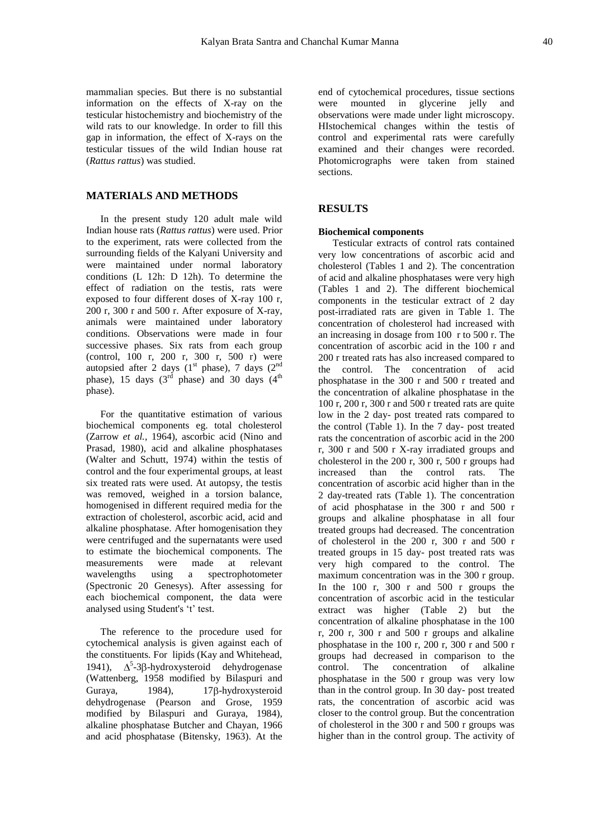mammalian species. But there is no substantial information on the effects of X-ray on the testicular histochemistry and biochemistry of the wild rats to our knowledge. In order to fill this gap in information, the effect of X-rays on the testicular tissues of the wild Indian house rat (*Rattus rattus*) was studied.

## **MATERIALS AND METHODS**

In the present study 120 adult male wild Indian house rats (*Rattus rattus*) were used. Prior to the experiment, rats were collected from the surrounding fields of the Kalyani University and were maintained under normal laboratory conditions (L 12h: D 12h). To determine the effect of radiation on the testis, rats were exposed to four different doses of X-ray 100 r, 200 r, 300 r and 500 r. After exposure of X-ray, animals were maintained under laboratory conditions. Observations were made in four successive phases. Six rats from each group (control, 100 r, 200 r, 300 r, 500 r) were autopsied after 2 days  $(1<sup>st</sup> phase)$ , 7 days  $(2<sup>nd</sup>$ phase), 15 days  $(3^{rd}$  phase) and 30 days  $(4^{th}$ phase).

For the quantitative estimation of various biochemical components eg. total cholesterol (Zarrow *et al.*, 1964), ascorbic acid (Nino and Prasad, 1980), acid and alkaline phosphatases (Walter and Schutt, 1974) within the testis of control and the four experimental groups, at least six treated rats were used. At autopsy, the testis was removed, weighed in a torsion balance, homogenised in different required media for the extraction of cholesterol, ascorbic acid, acid and alkaline phosphatase. After homogenisation they were centrifuged and the supernatants were used to estimate the biochemical components. The measurements were made at relevant wavelengths using a spectrophotometer (Spectronic 20 Genesys). After assessing for each biochemical component, the data were analysed using Student's 't' test.

The reference to the procedure used for cytochemical analysis is given against each of the constituents. For lipids (Kay and Whitehead, 1941),  $\Delta^5$ -3 $\beta$ -hydroxysteroid dehydrogenase (Wattenberg, 1958 modified by Bilaspuri and Guraya, 1984), 17 $\beta$ -hydroxysteroid dehydrogenase (Pearson and Grose, 1959 modified by Bilaspuri and Guraya, 1984), alkaline phosphatase Butcher and Chayan, 1966 and acid phosphatase (Bitensky, 1963). At the end of cytochemical procedures, tissue sections were mounted in glycerine jelly and observations were made under light microscopy. HIstochemical changes within the testis of control and experimental rats were carefully examined and their changes were recorded. Photomicrographs were taken from stained sections.

## **RESULTS**

#### **Biochemical components**

Testicular extracts of control rats contained very low concentrations of ascorbic acid and cholesterol (Tables 1 and 2). The concentration of acid and alkaline phosphatases were very high (Tables 1 and 2). The different biochemical components in the testicular extract of 2 day post-irradiated rats are given in Table 1. The concentration of cholesterol had increased with an increasing in dosage from 100 r to 500 r. The concentration of ascorbic acid in the 100 r and 200 r treated rats has also increased compared to the control. The concentration of acid phosphatase in the 300 r and 500 r treated and the concentration of alkaline phosphatase in the 100 r, 200 r, 300 r and 500 r treated rats are quite low in the 2 day- post treated rats compared to the control (Table 1). In the 7 day- post treated rats the concentration of ascorbic acid in the 200 r, 300 r and 500 r X-ray irradiated groups and cholesterol in the 200 r, 300 r, 500 r groups had increased than the control rats. The concentration of ascorbic acid higher than in the 2 day-treated rats (Table 1). The concentration of acid phosphatase in the 300 r and 500 r groups and alkaline phosphatase in all four treated groups had decreased. The concentration of cholesterol in the 200 r, 300 r and 500 r treated groups in 15 day- post treated rats was very high compared to the control. The maximum concentration was in the 300 r group. In the 100 r, 300 r and  $500$  r groups the concentration of ascorbic acid in the testicular extract was higher (Table 2) but the concentration of alkaline phosphatase in the 100 r, 200 r, 300 r and 500 r groups and alkaline phosphatase in the 100 r, 200 r, 300 r and 500 r groups had decreased in comparison to the control. The concentration of alkaline phosphatase in the 500 r group was very low than in the control group. In 30 day- post treated rats, the concentration of ascorbic acid was closer to the control group. But the concentration of cholesterol in the 300 r and 500 r groups was higher than in the control group. The activity of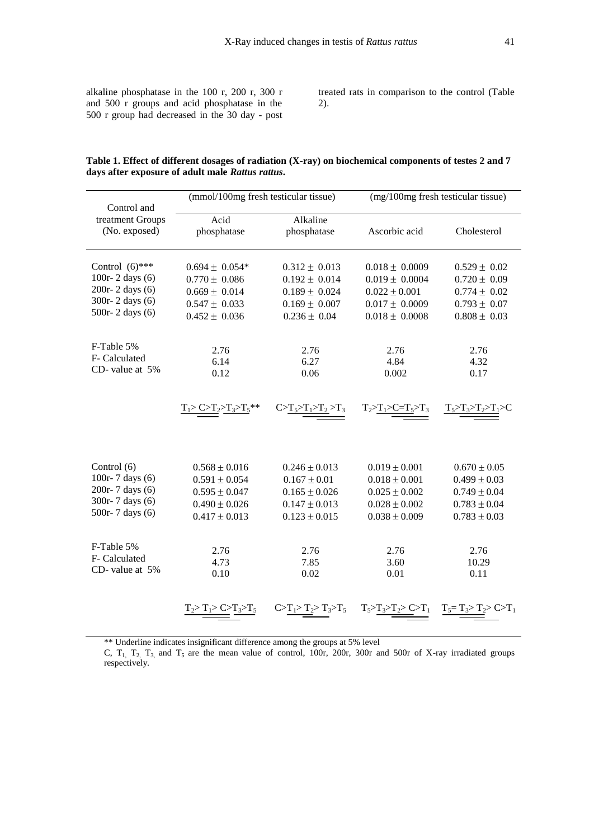alkaline phosphatase in the 100 r, 200 r, 300 r and 500 r groups and acid phosphatase in the 500 r group had decreased in the 30 day - post treated rats in comparison to the control (Table 2).

| Table 1. Effect of different dosages of radiation (X-ray) on biochemical components of testes 2 and 7 |
|-------------------------------------------------------------------------------------------------------|
| days after exposure of adult male <i>Rattus rattus</i> .                                              |
|                                                                                                       |

|                                                  | (mmol/100mg fresh testicular tissue) |                         | (mg/100mg fresh testicular tissue)                                                                                    |                  |  |  |
|--------------------------------------------------|--------------------------------------|-------------------------|-----------------------------------------------------------------------------------------------------------------------|------------------|--|--|
| Control and<br>treatment Groups<br>(No. exposed) | Acid<br>phosphatase                  | Alkaline<br>phosphatase | Ascorbic acid                                                                                                         | Cholesterol      |  |  |
| Control $(6)$ ***                                | $0.694 \pm 0.054*$                   | $0.312 \pm 0.013$       | $0.018 \pm 0.0009$                                                                                                    | $0.529 \pm 0.02$ |  |  |
| 100r-2 days $(6)$                                | $0.770 \pm 0.086$                    | $0.192 \pm 0.014$       | $0.019 \pm 0.0004$                                                                                                    | $0.720 \pm 0.09$ |  |  |
| 200r-2 days (6)                                  | $0.669 \pm 0.014$                    | $0.189 \pm 0.024$       | $0.022 \pm 0.001$                                                                                                     | $0.774 \pm 0.02$ |  |  |
| 300r-2 days (6)                                  | $0.547 \pm 0.033$                    | $0.169 \pm 0.007$       | $0.017 \pm 0.0009$                                                                                                    | $0.793 \pm 0.07$ |  |  |
| 500r-2 days (6)                                  | $0.452 \pm 0.036$                    | $0.236 \pm 0.04$        | $0.018 \pm 0.0008$                                                                                                    | $0.808 \pm 0.03$ |  |  |
| F-Table 5%                                       | 2.76                                 | 2.76                    | 2.76                                                                                                                  | 2.76             |  |  |
| F- Calculated                                    | 6.14                                 | 6.27                    | 4.84                                                                                                                  | 4.32             |  |  |
| CD-value at 5%                                   | 0.12                                 | 0.06                    | 0.002                                                                                                                 | 0.17             |  |  |
|                                                  | $T_1 > C > T_2 > T_3 > T_5$ **       |                         | $\frac{C > T_5 > T_1 > T_2 > T_3}{T_2 > T_1 > C = T_5 > T_3}$ $\frac{T_5 > T_3 > T_2 > T_1 > C}{T_1 > T_2 > T_1 > C}$ |                  |  |  |
| Control (6)                                      | $0.568 \pm 0.016$                    | $0.246 \pm 0.013$       | $0.019 \pm 0.001$                                                                                                     | $0.670 \pm 0.05$ |  |  |
| 100r-7 days (6)                                  | $0.591 \pm 0.054$                    | $0.167 \pm 0.01$        | $0.018 \pm 0.001$                                                                                                     | $0.499 \pm 0.03$ |  |  |
| 200r-7 days (6)                                  | $0.595 \pm 0.047$                    | $0.165 \pm 0.026$       | $0.025 \pm 0.002$                                                                                                     | $0.749 \pm 0.04$ |  |  |
| 300r-7 days (6)                                  | $0.490 \pm 0.026$                    | $0.147 \pm 0.013$       | $0.028 \pm 0.002$                                                                                                     | $0.783 \pm 0.04$ |  |  |
| 500r-7 days (6)                                  | $0.417 \pm 0.013$                    | $0.123 \pm 0.015$       | $0.038 \pm 0.009$                                                                                                     | $0.783 \pm 0.03$ |  |  |
| F-Table 5%                                       | 2.76                                 | 2.76                    | 2.76                                                                                                                  | 2.76             |  |  |
| F- Calculated                                    | 4.73                                 | 7.85                    | 3.60                                                                                                                  | 10.29            |  |  |
| CD-value at 5%                                   | 0.10                                 | 0.02                    | 0.01                                                                                                                  | 0.11             |  |  |
|                                                  |                                      |                         |                                                                                                                       |                  |  |  |

\*\* Underline indicates insignificant difference among the groups at 5% level

C,  $T_1$ ,  $T_2$ ,  $T_3$ , and  $T_5$  are the mean value of control, 100r, 200r, 300r and 500r of X-ray irradiated groups respectively.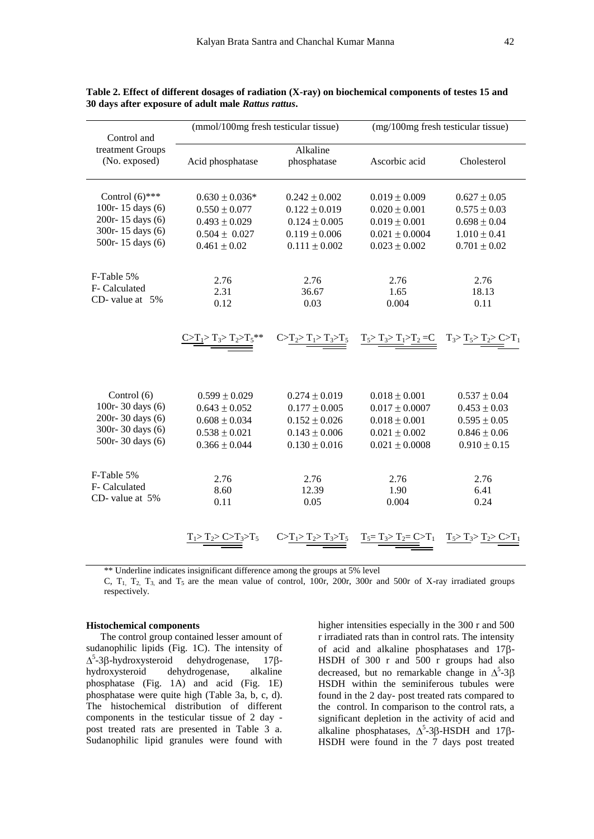| Control and                                                                                       | (mmol/100mg fresh testicular tissue)                                                                  |                                                                                                       |                                                                                                         | (mg/100mg fresh testicular tissue)                                                               |  |
|---------------------------------------------------------------------------------------------------|-------------------------------------------------------------------------------------------------------|-------------------------------------------------------------------------------------------------------|---------------------------------------------------------------------------------------------------------|--------------------------------------------------------------------------------------------------|--|
| treatment Groups<br>(No. exposed)                                                                 | Acid phosphatase                                                                                      | Alkaline<br>phosphatase                                                                               | Ascorbic acid                                                                                           | Cholesterol                                                                                      |  |
| Control $(6)$ ***<br>100r-15 days (6)<br>200r-15 days (6)<br>300r-15 days (6)<br>500r-15 days (6) | $0.630 \pm 0.036*$<br>$0.550 \pm 0.077$<br>$0.493 \pm 0.029$<br>$0.504 \pm 0.027$<br>$0.461 \pm 0.02$ | $0.242 \pm 0.002$<br>$0.122 \pm 0.019$<br>$0.124 \pm 0.005$<br>$0.119 \pm 0.006$<br>$0.111 \pm 0.002$ | $0.019 \pm 0.009$<br>$0.020 \pm 0.001$<br>$0.019 \pm 0.001$<br>$0.021 \pm 0.0004$<br>$0.023 \pm 0.002$  | $0.627 \pm 0.05$<br>$0.575 \pm 0.03$<br>$0.698 \pm 0.04$<br>$1.010 \pm 0.41$<br>$0.701 \pm 0.02$ |  |
| F-Table 5%<br>F- Calculated<br>CD-value at $5%$                                                   | 2.76<br>2.31<br>0.12                                                                                  | 2.76<br>2.76<br>1.65<br>36.67<br>0.03<br>0.004                                                        |                                                                                                         | 2.76<br>18.13<br>0.11                                                                            |  |
|                                                                                                   | $\underline{C > T_1 > T_3 > T_2 > T_5}$ **                                                            | $C \geq T_2 > T_1 > T_3 > T_5$                                                                        | $T_5 > T_3 > T_1 > T_2 = C$ $T_3 > T_5 > T_2 > C > T_1$                                                 |                                                                                                  |  |
| Control (6)<br>100r-30 days (6)<br>200r-30 days (6)<br>300r-30 days (6)<br>500r-30 days (6)       | $0.599 \pm 0.029$<br>$0.643 \pm 0.052$<br>$0.608 \pm 0.034$<br>$0.538 \pm 0.021$<br>$0.366 \pm 0.044$ | $0.274 \pm 0.019$<br>$0.177 \pm 0.005$<br>$0.152 \pm 0.026$<br>$0.143 \pm 0.006$<br>$0.130 \pm 0.016$ | $0.018 \pm 0.001$<br>$0.017 \pm 0.0007$<br>$0.018 \pm 0.001$<br>$0.021 \pm 0.002$<br>$0.021 \pm 0.0008$ | $0.537 \pm 0.04$<br>$0.453 \pm 0.03$<br>$0.595 \pm 0.05$<br>$0.846 \pm 0.06$<br>$0.910 \pm 0.15$ |  |
| F-Table 5%<br>F- Calculated<br>CD-value at 5%                                                     | 2.76<br>8.60<br>0.11                                                                                  | 2.76<br>12.39<br>0.05                                                                                 | 2.76<br>1.90<br>0.004                                                                                   | 2.76<br>6.41<br>0.24                                                                             |  |
|                                                                                                   |                                                                                                       |                                                                                                       | $T_5 = T_3 > T_2 = C > T_1$                                                                             |                                                                                                  |  |

**Table 2. Effect of different dosages of radiation (X-ray) on biochemical components of testes 15 and 30 days after exposure of adult male** *Rattus rattus***.**

\*\* Underline indicates insignificant difference among the groups at 5% level

C,  $T_1$ ,  $T_2$ ,  $T_3$ , and  $T_5$  are the mean value of control, 100r, 200r, 300r and 500r of X-ray irradiated groups respectively.

## **Histochemical components**

The control group contained lesser amount of sudanophilic lipids (Fig. 1C). The intensity of  $5$ -3β-hydroxysteroid dehydrogenase, 17βhydroxysteroid dehydrogenase, alkaline phosphatase (Fig. 1A) and acid (Fig. 1E) phosphatase were quite high (Table 3a, b, c, d). The histochemical distribution of different components in the testicular tissue of 2 day post treated rats are presented in Table 3 a. Sudanophilic lipid granules were found with

higher intensities especially in the 300 r and 500 r irradiated rats than in control rats. The intensity of acid and alkaline phosphatases and  $17\beta$ -HSDH of 300 r and 500 r groups had also decreased, but no remarkable change in  $\Delta^5$ -3 HSDH within the seminiferous tubules were found in the 2 day- post treated rats compared to the control. In comparison to the control rats, a significant depletion in the activity of acid and alkaline phosphatases,  $\Delta^5$ -3 $\beta$ -HSDH and 17 $\beta$ -HSDH were found in the 7 days post treated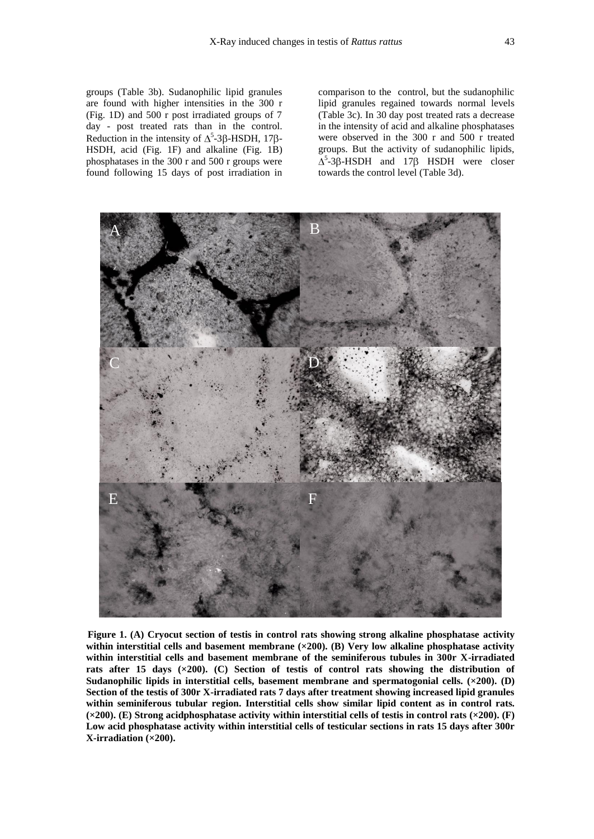groups (Table 3b). Sudanophilic lipid granules are found with higher intensities in the 300 r (Fig. 1D) and 500 r post irradiated groups of 7 day - post treated rats than in the control. Reduction in the intensity of  $\Delta^5$ -3 $\beta$ -HSDH, 17 $\beta$ -HSDH, acid (Fig. 1F) and alkaline (Fig. 1B) phosphatases in the 300 r and 500 r groups were found following 15 days of post irradiation in comparison to the control, but the sudanophilic lipid granules regained towards normal levels (Table 3c). In 30 day post treated rats a decrease in the intensity of acid and alkaline phosphatases were observed in the 300 r and 500 r treated groups. But the activity of sudanophilic lipids, <sup>5</sup>-3β-HSDH and 17β HSDH were closer towards the control level (Table 3d).



 **Figure 1. (A) Cryocut section of testis in control rats showing strong alkaline phosphatase activity within interstitial cells and basement membrane (×200). (B) Very low alkaline phosphatase activity within interstitial cells and basement membrane of the seminiferous tubules in 300r X-irradiated rats after 15 days (×200). (C) Section of testis of control rats showing the distribution of Sudanophilic lipids in interstitial cells, basement membrane and spermatogonial cells. (×200). (D) Section of the testis of 300r X-irradiated rats 7 days after treatment showing increased lipid granules within seminiferous tubular region. Interstitial cells show similar lipid content as in control rats. (×200). (E) Strong acidphosphatase activity within interstitial cells of testis in control rats (×200). (F) Low acid phosphatase activity within interstitial cells of testicular sections in rats 15 days after 300r X-irradiation (×200).**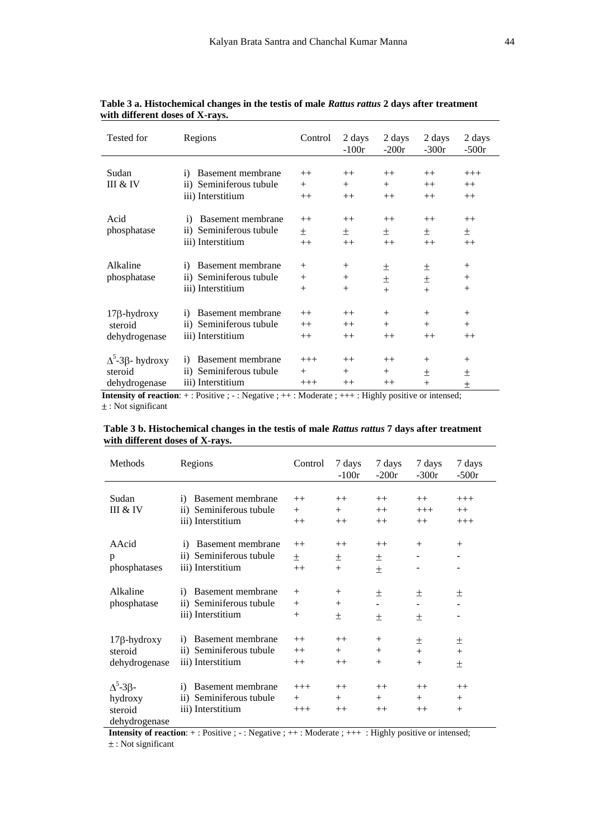| Tested for                                                  | Regions                                                                                    | Control                    | 2 days<br>$-100r$          | 2 days<br>$-200r$        | 2 days<br>$-300r$          | 2 days<br>$-500r$          |
|-------------------------------------------------------------|--------------------------------------------------------------------------------------------|----------------------------|----------------------------|--------------------------|----------------------------|----------------------------|
| Sudan<br>III & IV                                           | Basement membrane<br>$\mathbf{i}$<br>ii) Seminiferous tubule<br>iii) Interstitium          | $++$<br>$^{+}$<br>$++$     | $++$<br>$+$<br>$++$        | $++$<br>$^{+}$<br>$++$   | $++$<br>$++$<br>$++$       | $+++$<br>$++$<br>$++$      |
| Acid<br>phosphatase                                         | Basement membrane<br>$\mathbf{1}$<br>ii) Seminiferous tubule<br>iii) Interstitium          | $++$<br>土<br>$++$          | $++$<br>土<br>$++$          | $++$<br>土<br>$++$        | $++$<br>土<br>$++$          | $++$<br>土<br>$++$          |
| Alkaline<br>phosphatase                                     | Basement membrane<br>$\mathbf{i}$<br>Seminiferous tubule<br>$\rm ii)$<br>iii) Interstitium | $^{+}$<br>$^{+}$<br>$^{+}$ | $^{+}$<br>$^{+}$<br>$^{+}$ | 土<br>士<br>$^{+}$         | 土<br>士<br>$+$              | $^{+}$<br>$^{+}$<br>$^{+}$ |
| $17\beta$ -hydroxy<br>steroid<br>dehydrogenase              | Basement membrane<br>$\bf{1)}$<br>Seminiferous tubule<br>$\rm ii)$<br>iii) Interstitium    | $++$<br>$++$<br>$++$       | $^{++}$<br>$++$<br>$++$    | $^{+}$<br>$^{+}$<br>$++$ | $+$<br>$^{+}$<br>$++$      | $^{+}$<br>$+$<br>$++$      |
| $\Delta^5$ -3 $\beta$ - hydroxy<br>steroid<br>dehydrogenase | Basement membrane<br>$\mathbf{i}$<br>Seminiferous tubule<br>$\rm ii)$<br>iii) Interstitium | $+++$<br>$^{+}$<br>$+++$   | $++$<br>$+$<br>$^{++}$     | $++$<br>$^{+}$<br>$++$   | $+$<br>$\mathrm{+}$<br>$+$ | $^{+}$<br>土<br>土           |

 **Table 3 a. Histochemical changes in the testis of male** *Rattus rattus* **2 days after treatment with different doses of X-rays.**

**Intensity of reaction**: +: Positive ; -: Negative ; ++ : Moderate ; +++ : Highly positive or intensed; : Not significant

| Table 3 b. Histochemical changes in the testis of male Rattus rattus 7 days after treatment |
|---------------------------------------------------------------------------------------------|
| with different doses of X-rays.                                                             |

| Methods                                                        | Regions                                                                                | Control                    | 7 days<br>$-100r$      | 7 days<br>$-200r$          | 7 days<br>$-300r$      | 7 days<br>$-500r$        |
|----------------------------------------------------------------|----------------------------------------------------------------------------------------|----------------------------|------------------------|----------------------------|------------------------|--------------------------|
| Sudan<br>III & IV                                              | Basement membrane<br>$\mathbf{i}$<br>ii) Seminiferous tubule<br>iii) Interstitium      | $++$<br>$^{+}$<br>$++$     | $++$<br>$^{+}$<br>$++$ | $++$<br>$++$<br>$++$       | $++$<br>$+++$<br>$++$  | $+++$<br>$++$<br>$+++$   |
| AAcid<br>p<br>phosphatases                                     | Basement membrane<br>$\ddot{1}$<br>ii) Seminiferous tubule<br>iii) Interstitium        | $++$<br>$^{+}$<br>$++$     | $++$<br>士<br>$^{+}$    | $++$<br>士<br>土             | $^{+}$                 | $^{+}$                   |
| Alkaline<br>phosphatase                                        | Basement membrane<br>$\mathbf{i}$<br>ii) Seminiferous tubule<br>iii) Interstitium      | $^{+}$<br>$^{+}$<br>$^{+}$ | $^{+}$<br>$^{+}$<br>土  | 土<br>土                     | 土<br>土                 | 土                        |
| $17\beta$ -hydroxy<br>steroid<br>dehydrogenase                 | Basement membrane<br>$\bf{1)}$<br>ii) Seminiferous tubule<br>iii) Interstitium         | $++$<br>$++$<br>$++$       | $++$<br>$^{+}$<br>$++$ | $^{+}$<br>$^{+}$<br>$^{+}$ | 土<br>$^{+}$<br>$^{+}$  | 土<br>$^{+}$<br>土         |
| $\Delta^5$ -3 $\beta$ -<br>hydroxy<br>steroid<br>dehydrogenase | Basement membrane<br>$\left( i\right)$<br>ii) Seminiferous tubule<br>iii) Interstitium | $+++$<br>$^{+}$<br>$+++$   | $++$<br>$^{+}$<br>$++$ | $++$<br>$^{+}$<br>$++$     | $++$<br>$^{+}$<br>$++$ | $++$<br>$^{+}$<br>$^{+}$ |

**Intensity of reaction**: + : Positive ; - : Negative ; + + : Moderate ; + + + : Highly positive or intensed; : Not significant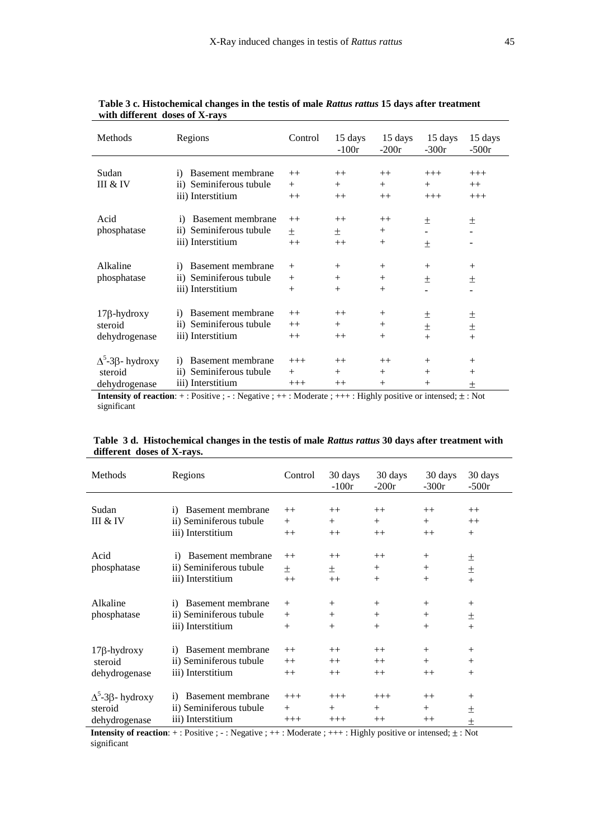| Methods                         | Regions                                | Control | 15 days<br>$-100r$ | 15 days<br>$-200r$ | 15 days<br>$-300r$ | 15 days<br>$-500r$ |
|---------------------------------|----------------------------------------|---------|--------------------|--------------------|--------------------|--------------------|
|                                 |                                        |         |                    |                    |                    |                    |
| Sudan                           | Basement membrane<br>$\mathbf{i}$      | $++$    | $++$               | $++$               | $+++$              | $+++$              |
| III & IV                        | ii) Seminiferous tubule                | $+$     | $^{+}$             | $^{+}$             | $^{+}$             | $++$               |
|                                 | iii) Interstitium                      | $++$    | $++$               | $++$               | $+++$              | $+++$              |
|                                 |                                        |         |                    |                    |                    |                    |
| Acid                            | Basement membrane<br>$\mathbf{i}$      | $++$    | $++$               | $++$               | 土                  | 土                  |
| phosphatase                     | ii) Seminiferous tubule                | 土       | 土                  | $^{+}$             |                    |                    |
|                                 | iii) Interstitium                      | $++$    | $++$               | $^{+}$             | 土                  |                    |
|                                 |                                        |         |                    |                    |                    |                    |
| Alkaline                        | Basement membrane<br>$\bf{1)}$         | $^{+}$  | $^{+}$             | $^{+}$             | $^{+}$             | $^{+}$             |
| phosphatase                     | Seminiferous tubule<br>$\rm ii)$       | $^{+}$  | $^{+}$             | $^{+}$             | 土                  | 土                  |
|                                 | iii) Interstitium                      | $^{+}$  | $^{+}$             | $^{+}$             |                    |                    |
|                                 |                                        |         |                    |                    |                    |                    |
| $17\beta$ -hydroxy              | Basement membrane<br>$\bf{1)}$         | $++$    | $++$               | $^{+}$             |                    |                    |
| steroid                         | Seminiferous tubule<br>$\overline{11}$ | $++$    | $^{+}$             | $^{+}$             | 土                  | 土                  |
|                                 | iii) Interstitium                      |         |                    |                    | 土                  | 土                  |
| dehydrogenase                   |                                        | $++$    | $++$               | $^{+}$             | $^{+}$             | $+$                |
|                                 |                                        |         |                    |                    |                    |                    |
| $\Delta^5$ -3 $\beta$ - hydroxy | Basement membrane<br>$\bf{1)}$         | $+++$   | $++$               | $++$               | $^{+}$             | $^{+}$             |
| steroid                         | Seminiferous tubule<br>11)             | $^{+}$  | $^{+}$             | $^{+}$             | $^{+}$             | $^{+}$             |
| dehydrogenase                   | iii) Interstitium                      | $+++$   | $++$               | $^{+}$             | $^{+}$             | 土                  |

 **Table 3 c. Histochemical changes in the testis of male** *Rattus rattus* **15 days after treatment with different doses of X-rays** 

**Intensity of reaction**:  $+$  : Positive ;  $-$  : Negative ;  $++$  : Moderate ;  $++$  : Highly positive or intensed;  $\pm$  : Not significant

|                            | Table 3 d. Histochemical changes in the testis of male Rattus rattus 30 days after treatment with |
|----------------------------|---------------------------------------------------------------------------------------------------|
| different doses of X-rays. |                                                                                                   |

| Methods                         | Regions                           | Control | 30 days<br>$-100r$ | 30 days<br>$-200r$ | 30 days<br>$-300r$ | 30 days<br>$-500r$ |
|---------------------------------|-----------------------------------|---------|--------------------|--------------------|--------------------|--------------------|
|                                 |                                   |         |                    |                    |                    |                    |
| Sudan                           | Basement membrane<br>$\mathbf{i}$ | $++$    | $++$               | $++$               | $++$               | $++$               |
| III & IV                        | ii) Seminiferous tubule           | $+$     | $+$                | $+$                | $^{+}$             | $++$               |
|                                 | iii) Interstitium                 | $++$    | $++$               | $++$               | $++$               | $+$                |
| Acid                            | Basement membrane<br>$\mathbf{1}$ | $++$    | $++$               | $++$               | $^{+}$             | 土                  |
| phosphatase                     | ii) Seminiferous tubule           | 土       | 土                  | $^{+}$             | $^{+}$             | 土                  |
|                                 | iii) Interstitium                 | $++$    | $++$               | $^{+}$             | $^{+}$             | $^{+}$             |
|                                 |                                   |         |                    |                    |                    |                    |
| Alkaline                        | Basement membrane<br>$\mathbf{i}$ | $^{+}$  | $+$                | $^{+}$             | $^{+}$             | $^{+}$             |
| phosphatase                     | ii) Seminiferous tubule           | $+$     | $+$                | $+$                | $^{+}$             | 土                  |
|                                 | iii) Interstitium                 | $^{+}$  | $+$                | $+$                | $+$                | $^{+}$             |
|                                 |                                   |         |                    |                    |                    |                    |
| $17\beta$ -hydroxy              | Basement membrane<br>$\bf{1)}$    | $++$    | $++$               | $++$               | $^{+}$             | $^{+}$             |
| steroid                         | ii) Seminiferous tubule           | $++$    | $++$               | $++$               | $^{+}$             | $^{+}$             |
| dehydrogenase                   | iii) Interstitium                 | $++$    | $++$               | $++$               | $++$               | $^{+}$             |
| $\Delta^5$ -3 $\beta$ - hydroxy | Basement membrane<br>$\bf{1)}$    | $+++$   | $+++$              | $+++$              | $++$               | $^{+}$             |
| steroid                         | ii) Seminiferous tubule           | $+$     | $^{+}$             | $^{+}$             | $^{+}$             | 土                  |
| dehydrogenase                   | iii) Interstitium                 | $+++$   | $+++$              | $^{++}$            | $++$               | 土                  |

**Intensity of reaction**:  $+$  : Positive ;  $-$  : Negative ;  $++$  : Moderate ;  $++$  : Highly positive or intensed;  $\pm$  : Not significant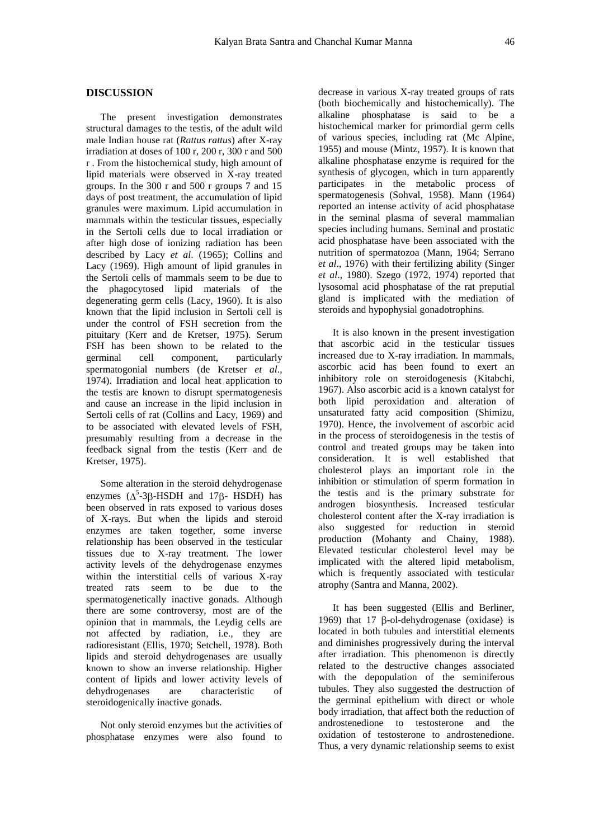# **DISCUSSION**

The present investigation demonstrates structural damages to the testis, of the adult wild male Indian house rat (*Rattus rattus*) after X-ray irradiation at doses of 100 r, 200 r, 300 r and 500 r . From the histochemical study, high amount of lipid materials were observed in X-ray treated groups. In the 300 r and 500 r groups 7 and 15 days of post treatment, the accumulation of lipid granules were maximum. Lipid accumulation in mammals within the testicular tissues, especially in the Sertoli cells due to local irradiation or after high dose of ionizing radiation has been described by Lacy *et al*. (1965); Collins and Lacy (1969). High amount of lipid granules in the Sertoli cells of mammals seem to be due to the phagocytosed lipid materials of the degenerating germ cells (Lacy, 1960). It is also known that the lipid inclusion in Sertoli cell is under the control of FSH secretion from the pituitary (Kerr and de Kretser, 1975). Serum FSH has been shown to be related to the germinal cell component, particularly spermatogonial numbers (de Kretser *et al*., 1974). Irradiation and local heat application to the testis are known to disrupt spermatogenesis and cause an increase in the lipid inclusion in Sertoli cells of rat (Collins and Lacy, 1969) and to be associated with elevated levels of FSH, presumably resulting from a decrease in the feedback signal from the testis (Kerr and de Kretser, 1975).

Some alteration in the steroid dehydrogenase enzymes  $(\Delta^5$ -3 $\beta$ -HSDH and 17 $\beta$ - HSDH) has been observed in rats exposed to various doses of X-rays. But when the lipids and steroid enzymes are taken together, some inverse relationship has been observed in the testicular tissues due to X-ray treatment. The lower activity levels of the dehydrogenase enzymes within the interstitial cells of various X-ray treated rats seem to be due to the spermatogenetically inactive gonads. Although there are some controversy, most are of the opinion that in mammals, the Leydig cells are not affected by radiation, i.e., they are radioresistant (Ellis, 1970; Setchell, 1978). Both lipids and steroid dehydrogenases are usually known to show an inverse relationship. Higher content of lipids and lower activity levels of dehydrogenases are characteristic of steroidogenically inactive gonads.

Not only steroid enzymes but the activities of phosphatase enzymes were also found to

decrease in various X-ray treated groups of rats (both biochemically and histochemically). The alkaline phosphatase is said to be a histochemical marker for primordial germ cells of various species, including rat (Mc Alpine, 1955) and mouse (Mintz, 1957). It is known that alkaline phosphatase enzyme is required for the synthesis of glycogen, which in turn apparently participates in the metabolic process of spermatogenesis (Sohval, 1958). Mann (1964) reported an intense activity of acid phosphatase in the seminal plasma of several mammalian species including humans. Seminal and prostatic acid phosphatase have been associated with the nutrition of spermatozoa (Mann, 1964; Serrano *et al*., 1976) with their fertilizing ability (Singer *et al*., 1980). Szego (1972, 1974) reported that lysosomal acid phosphatase of the rat preputial gland is implicated with the mediation of steroids and hypophysial gonadotrophins.

It is also known in the present investigation that ascorbic acid in the testicular tissues increased due to X-ray irradiation. In mammals, ascorbic acid has been found to exert an inhibitory role on steroidogenesis (Kitabchi, 1967). Also ascorbic acid is a known catalyst for both lipid peroxidation and alteration of unsaturated fatty acid composition (Shimizu, 1970). Hence, the involvement of ascorbic acid in the process of steroidogenesis in the testis of control and treated groups may be taken into consideration. It is well established that cholesterol plays an important role in the inhibition or stimulation of sperm formation in the testis and is the primary substrate for androgen biosynthesis. Increased testicular cholesterol content after the X-ray irradiation is also suggested for reduction in steroid production (Mohanty and Chainy, 1988). Elevated testicular cholesterol level may be implicated with the altered lipid metabolism, which is frequently associated with testicular atrophy (Santra and Manna, 2002).

It has been suggested (Ellis and Berliner, 1969) that 17  $\beta$ -ol-dehydrogenase (oxidase) is located in both tubules and interstitial elements and diminishes progressively during the interval after irradiation. This phenomenon is directly related to the destructive changes associated with the depopulation of the seminiferous tubules. They also suggested the destruction of the germinal epithelium with direct or whole body irradiation, that affect both the reduction of androstenedione to testosterone and the oxidation of testosterone to androstenedione. Thus, a very dynamic relationship seems to exist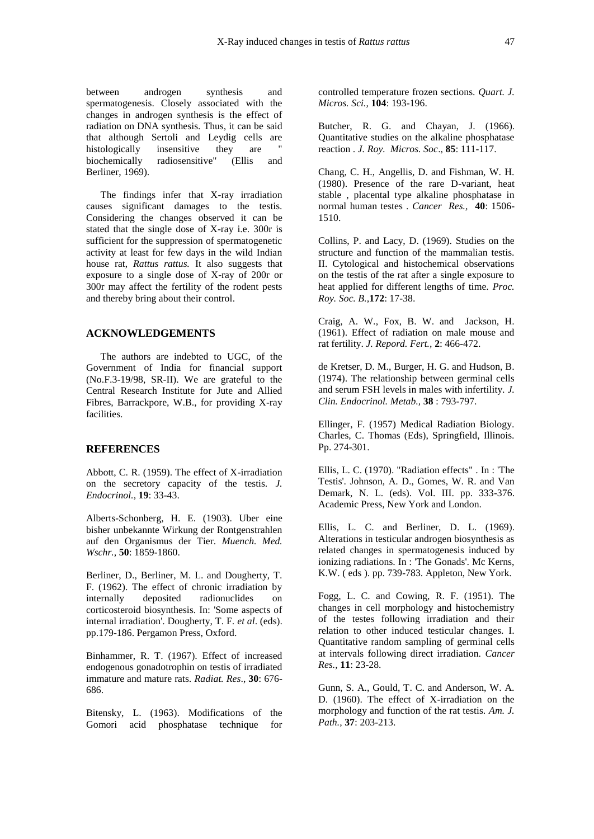between androgen synthesis and spermatogenesis. Closely associated with the changes in androgen synthesis is the effect of radiation on DNA synthesis. Thus, it can be said that although Sertoli and Leydig cells are<br>histologically insensitive they are " histologically insensitive they are biochemically radiosensitive" (Ellis and Berliner, 1969).

The findings infer that X-ray irradiation causes significant damages to the testis. Considering the changes observed it can be stated that the single dose of X-ray i.e. 300r is sufficient for the suppression of spermatogenetic activity at least for few days in the wild Indian house rat, *Rattus rattus.* It also suggests that exposure to a single dose of X-ray of 200r or 300r may affect the fertility of the rodent pests and thereby bring about their control.

## **ACKNOWLEDGEMENTS**

The authors are indebted to UGC, of the Government of India for financial support (No.F.3-19/98, SR-II). We are grateful to the Central Research Institute for Jute and Allied Fibres, Barrackpore, W.B., for providing X-ray facilities.

#### **REFERENCES**

Abbott, C. R. (1959). The effect of X-irradiation on the secretory capacity of the testis. *J. Endocrinol.,* **19**: 33-43.

Alberts-Schonberg, H. E. (1903). Uber eine bisher unbekannte Wirkung der Rontgenstrahlen auf den Organismus der Tier. *Muench. Med. Wschr.,* **50**: 1859-1860.

Berliner, D., Berliner, M. L. and Dougherty, T. F. (1962). The effect of chronic irradiation by internally deposited radionuclides on corticosteroid biosynthesis. In: 'Some aspects of internal irradiation'. Dougherty, T. F. *et al*. (eds). pp.179-186. Pergamon Press, Oxford.

Binhammer, R. T. (1967). Effect of increased endogenous gonadotrophin on testis of irradiated immature and mature rats. *Radiat. Res*., **30**: 676- 686.

Bitensky, L. (1963). Modifications of the Gomori acid phosphatase technique for

controlled temperature frozen sections. *Quart. J. Micros. Sci.,* **104**: 193-196.

Butcher, R. G. and Chayan, J. (1966). Quantitative studies on the alkaline phosphatase reaction . *J. Roy. Micros. Soc*., **85**: 111-117.

Chang, C. H., Angellis, D. and Fishman, W. H. (1980). Presence of the rare D-variant, heat stable , placental type alkaline phosphatase in normal human testes . *Cancer Res.,* **40**: 1506- 1510.

Collins, P. and Lacy, D. (1969). Studies on the structure and function of the mammalian testis. II. Cytological and histochemical observations on the testis of the rat after a single exposure to heat applied for different lengths of time. *Proc. Roy. Soc. B.,***172**: 17-38.

Craig, A. W., Fox, B. W. and Jackson, H. (1961). Effect of radiation on male mouse and rat fertility. *J. Repord. Fert.,* **2**: 466-472.

de Kretser, D. M., Burger, H. G. and Hudson, B. (1974). The relationship between germinal cells and serum FSH levels in males with infertility. *J. Clin. Endocrinol. Metab.,* **38** : 793-797.

Ellinger, F. (1957) Medical Radiation Biology. Charles, C. Thomas (Eds), Springfield, Illinois. Pp. 274-301.

Ellis, L. C. (1970). "Radiation effects" . In : 'The Testis'. Johnson, A. D., Gomes, W. R. and Van Demark, N. L. (eds). Vol. III. pp. 333-376. Academic Press, New York and London.

Ellis, L. C. and Berliner, D. L. (1969). Alterations in testicular androgen biosynthesis as related changes in spermatogenesis induced by ionizing radiations. In : 'The Gonads'. Mc Kerns, K.W. ( eds ). pp. 739-783. Appleton, New York.

Fogg, L. C. and Cowing, R. F. (1951). The changes in cell morphology and histochemistry of the testes following irradiation and their relation to other induced testicular changes. I. Quantitative random sampling of germinal cells at intervals following direct irradiation. *Cancer Res.,* **11**: 23-28.

Gunn, S. A., Gould, T. C. and Anderson, W. A. D. (1960). The effect of X-irradiation on the morphology and function of the rat testis. *Am. J. Path.,* **37**: 203-213.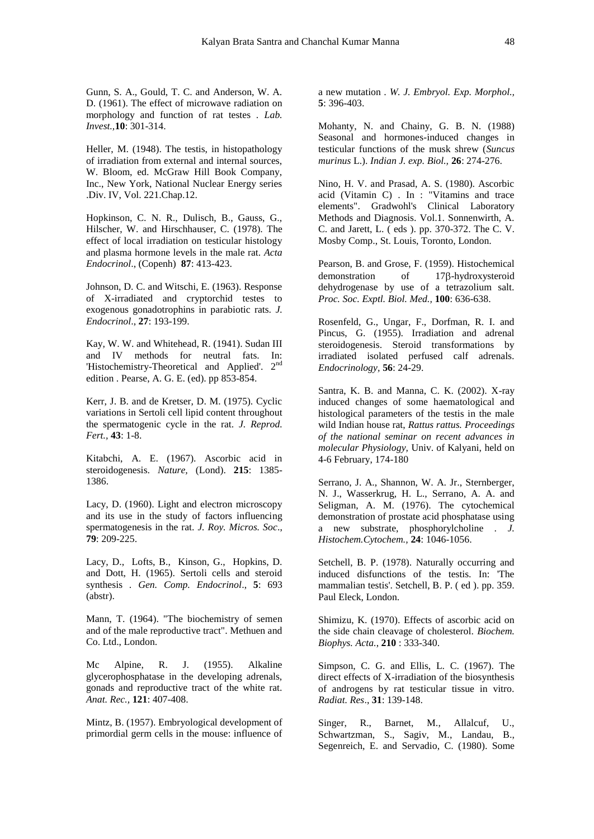Gunn, S. A., Gould, T. C. and Anderson, W. A. D. (1961). The effect of microwave radiation on morphology and function of rat testes . *Lab. Invest.,***10**: 301-314.

Heller, M. (1948). The testis, in histopathology of irradiation from external and internal sources, W. Bloom, ed. McGraw Hill Book Company, Inc., New York, National Nuclear Energy series .Div. IV, Vol. 221.Chap.12.

Hopkinson, C. N. R., Dulisch, B., Gauss, G., Hilscher, W. and Hirschhauser, C. (1978). The effect of local irradiation on testicular histology and plasma hormone levels in the male rat. *Acta Endocrinol*., (Copenh) **87**: 413-423.

Johnson, D. C. and Witschi, E. (1963). Response of X-irradiated and cryptorchid testes to exogenous gonadotrophins in parabiotic rats. *J. Endocrinol*., **27**: 193-199.

Kay, W. W. and Whitehead, R. (1941). Sudan III and IV methods for neutral fats. In: 'Histochemistry-Theoretical and Applied'. 2nd edition . Pearse, A. G. E. (ed). pp 853-854.

Kerr, J. B. and de Kretser, D. M. (1975). Cyclic variations in Sertoli cell lipid content throughout the spermatogenic cycle in the rat. *J. Reprod. Fert.,* **43**: 1-8.

Kitabchi, A. E. (1967). Ascorbic acid in steroidogenesis. *Nature,* (Lond). **215**: 1385- 1386.

Lacy, D. (1960). Light and electron microscopy and its use in the study of factors influencing spermatogenesis in the rat. *J. Roy. Micros. Soc*., **79**: 209-225.

Lacy, D., Lofts, B., Kinson, G., Hopkins, D. and Dott, H. (1965). Sertoli cells and steroid synthesis . *Gen. Comp. Endocrinol*., **5**: 693 (abstr).

Mann, T. (1964). "The biochemistry of semen and of the male reproductive tract". Methuen and Co. Ltd., London.

Mc Alpine, R. J. (1955). Alkaline glycerophosphatase in the developing adrenals, gonads and reproductive tract of the white rat. *Anat. Rec.,* **121**: 407-408.

Mintz, B. (1957). Embryological development of primordial germ cells in the mouse: influence of a new mutation . *W. J. Embryol. Exp. Morphol.,* **5**: 396-403.

Mohanty, N. and Chainy, G. B. N. (1988) Seasonal and hormones-induced changes in testicular functions of the musk shrew (*Suncus murinus* L.). *Indian J. exp. Biol.,* **26**: 274-276.

Nino, H. V. and Prasad, A. S. (1980). Ascorbic acid (Vitamin C) . In : "Vitamins and trace elements". Gradwohl's Clinical Laboratory Methods and Diagnosis. Vol.1. Sonnenwirth, A. C. and Jarett, L. ( eds ). pp. 370-372. The C. V. Mosby Comp., St. Louis, Toronto, London.

Pearson, B. and Grose, F. (1959). Histochemical demonstration of  $17\beta$ -hydroxysteroid dehydrogenase by use of a tetrazolium salt. *Proc. Soc. Exptl. Biol. Med.,* **100**: 636-638.

Rosenfeld, G., Ungar, F., Dorfman, R. I. and Pincus, G. (1955). Irradiation and adrenal steroidogenesis. Steroid transformations by irradiated isolated perfused calf adrenals. *Endocrinology,* **56**: 24-29.

Santra, K. B. and Manna, C. K. (2002). X-ray induced changes of some haematological and histological parameters of the testis in the male wild Indian house rat, *Rattus rattus. Proceedings of the national seminar on recent advances in molecular Physiology,* Univ. of Kalyani, held on 4-6 February, 174-180

Serrano, J. A., Shannon, W. A. Jr., Sternberger, N. J., Wasserkrug, H. L., Serrano, A. A. and Seligman, A. M. (1976). The cytochemical demonstration of prostate acid phosphatase using a new substrate, phosphorylcholine . *J. Histochem.Cytochem.,* **24**: 1046-1056.

Setchell, B. P. (1978). Naturally occurring and induced disfunctions of the testis. In: 'The mammalian testis'. Setchell, B. P. ( ed ). pp. 359. Paul Eleck, London.

Shimizu, K. (1970). Effects of ascorbic acid on the side chain cleavage of cholesterol. *Biochem. Biophys. Acta.*, **210** : 333-340.

Simpson, C. G. and Ellis, L. C. (1967). The direct effects of X-irradiation of the biosynthesis of androgens by rat testicular tissue in vitro. *Radiat. Res*., **31**: 139-148.

Singer, R., Barnet, M., Allalcuf, U., Schwartzman, S., Sagiv, M., Landau, B., Segenreich, E. and Servadio, C. (1980). Some